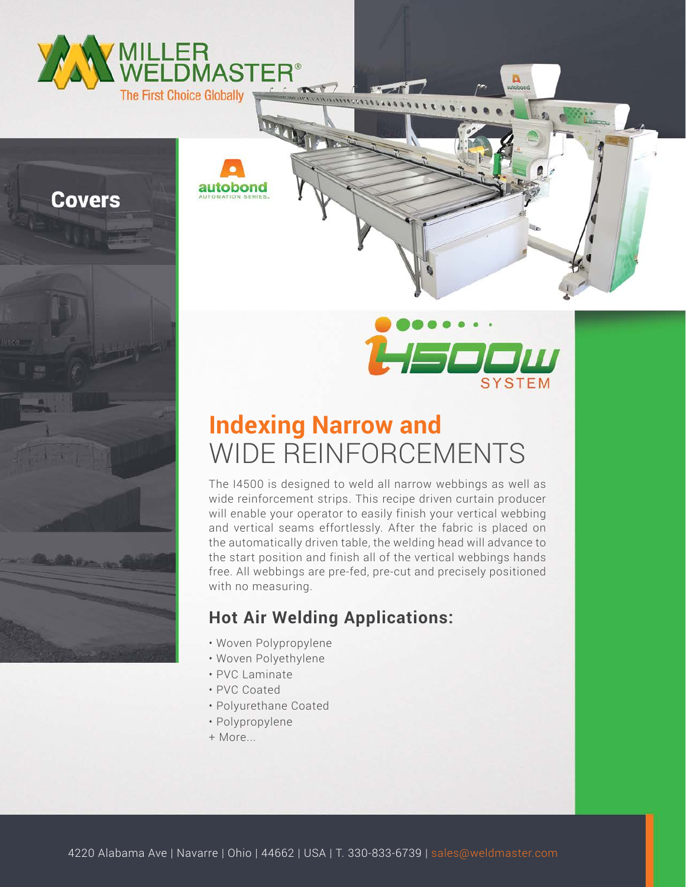



## **Indexing Narrow and** WIDE REINFORCEMENTS

The I4500 is designed to weld all narrow webbings as well as wide reinforcement strips. This recipe driven curtain producer will enable your operator to easily finish your vertical webbing and vertical seams effortlessly. After the fabric is placed on the automatically driven table, the welding head will advance to the start position and finish all of the vertical webbings hands free. All webbings are pre-fed, pre-cut and precisely positioned with no measuring.

## **Hot Air Welding Applications:**

- Woven Polypropylene
- Woven Polyethylene
- PVC Laminate
- PVC Coated
- Polyurethane Coated
- Polypropylene
- + More...

4220 Alabama Ave | Navarre | Ohio | 44662 | USA | T. 330-833-6739 | sales@weldmaster.com